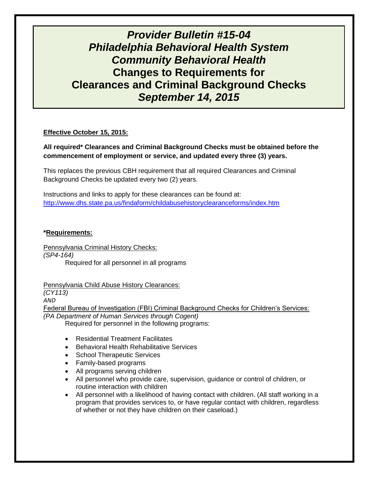# *Provider Bulletin #15-04 Philadelphia Behavioral Health System Community Behavioral Health* **Changes to Requirements for Clearances and Criminal Background Checks** *September 14, 2015*

## **Effective October 15, 2015:**

# **All required\* Clearances and Criminal Background Checks must be obtained before the commencement of employment or service, and updated every three (3) years.**

This replaces the previous CBH requirement that all required Clearances and Criminal Background Checks be updated every two (2) years.

Instructions and links to apply for these clearances can be found at: <http://www.dhs.state.pa.us/findaform/childabusehistoryclearanceforms/index.htm>

#### **\*Requirements:**

Pennsylvania Criminal History Checks: *(SP4-164)* Required for all personnel in all programs

Pennsylvania Child Abuse History Clearances:

*(CY113)*

*AND*

Federal Bureau of Investigation (FBI) Criminal Background Checks for Children's Services: *(PA Department of Human Services through Cogent)*

Required for personnel in the following programs:

- Residential Treatment Facilitates
- **Behavioral Health Rehabilitative Services**
- School Therapeutic Services
- Family-based programs
- All programs serving children
- All personnel who provide care, supervision, guidance or control of children, or routine interaction with children
- All personnel with a likelihood of having contact with children. (All staff working in a program that provides services to, or have regular contact with children, regardless of whether or not they have children on their caseload.)